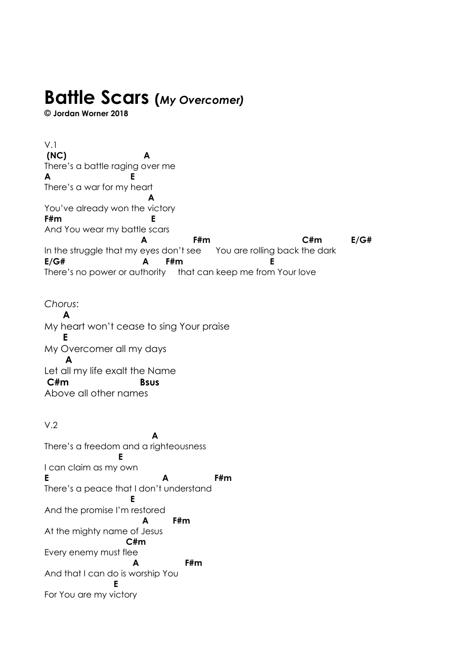## **Battle Scars (***My Overcomer)*

**© Jordan Worner 2018**

V.1 **(NC) A** There's a battle raging over me **A E** There's a war for my heart **A** You've already won the victory **F#m E** And You wear my battle scars **A F#m C#m E/G#** In the struggle that my eyes don't see You are rolling back the dark **E/G# A F#m E** There's no power or authority that can keep me from Your love

*Chorus*:  **A** My heart won't cease to sing Your praise  **E** My Overcomer all my days **A** Let all my life exalt the Name  **C#m Bsus** Above all other names

V.2 **A** There's a freedom and a righteousness **E** I can claim as my own **E A F#m** There's a peace that I don't understand **E** And the promise I'm restored **A F#m** At the mighty name of Jesus **C#m** Every enemy must flee **A F#m** And that I can do is worship You **E** For You are my victory